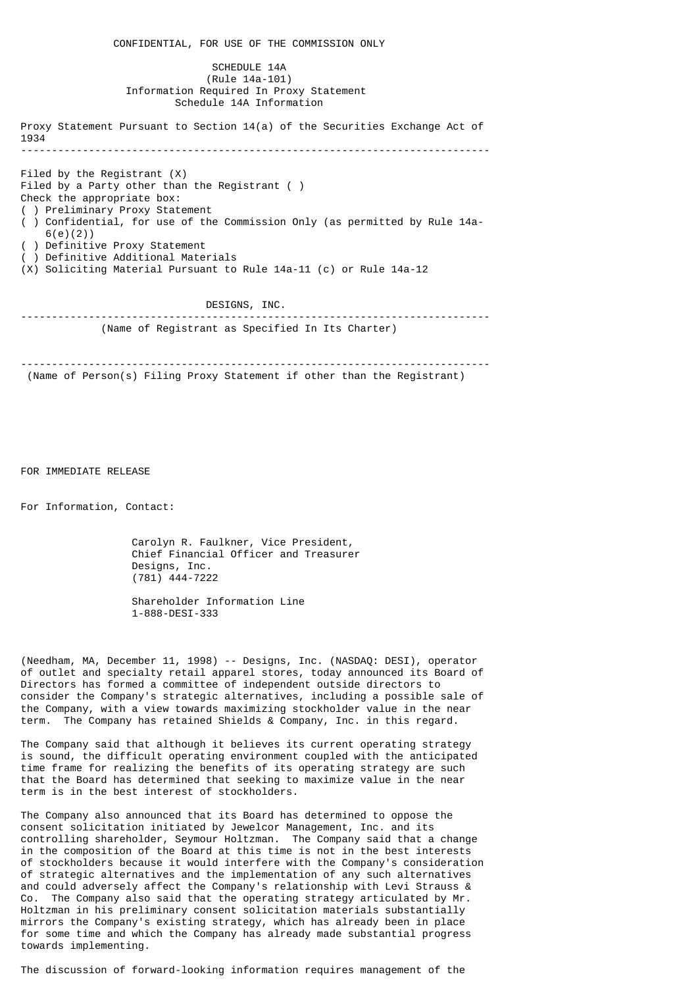CONFIDENTIAL, FOR USE OF THE COMMISSION ONLY SCHEDULE 14A (Rule 14a-101) Information Required In Proxy Statement Schedule 14A Information Proxy Statement Pursuant to Section 14(a) of the Securities Exchange Act of 1934 ---------------------------------------------------------------------------- Filed by the Registrant (X) Filed by a Party other than the Registrant ( ) Check the appropriate box: ( ) Preliminary Proxy Statement ( ) Confidential, for use of the Commission Only (as permitted by Rule 14a- 6(e)(2)) ( ) Definitive Proxy Statement ) Definitive Additional Materials (X) Soliciting Material Pursuant to Rule 14a-11 (c) or Rule 14a-12 DESIGNS, INC. ---------------------------------------------------------------------------- (Name of Registrant as Specified In Its Charter) ---------------------------------------------------------------------------- (Name of Person(s) Filing Proxy Statement if other than the Registrant)

FOR IMMEDIATE RELEASE

For Information, Contact:

 Carolyn R. Faulkner, Vice President, Chief Financial Officer and Treasurer Designs, Inc. (781) 444-7222

 Shareholder Information Line 1-888-DESI-333

 (Needham, MA, December 11, 1998) -- Designs, Inc. (NASDAQ: DESI), operator of outlet and specialty retail apparel stores, today announced its Board of Directors has formed a committee of independent outside directors to consider the Company's strategic alternatives, including a possible sale of the Company, with a view towards maximizing stockholder value in the near term. The Company has retained Shields & Company, Inc. in this regard.

 The Company said that although it believes its current operating strategy is sound, the difficult operating environment coupled with the anticipated time frame for realizing the benefits of its operating strategy are such that the Board has determined that seeking to maximize value in the near term is in the best interest of stockholders.

 The Company also announced that its Board has determined to oppose the consent solicitation initiated by Jewelcor Management, Inc. and its controlling shareholder, Seymour Holtzman. The Company said that a change in the composition of the Board at this time is not in the best interests of stockholders because it would interfere with the Company's consideration of strategic alternatives and the implementation of any such alternatives and could adversely affect the Company's relationship with Levi Strauss & Co. The Company also said that the operating strategy articulated by Mr. Holtzman in his preliminary consent solicitation materials substantially mirrors the Company's existing strategy, which has already been in place for some time and which the Company has already made substantial progress towards implementing.

The discussion of forward-looking information requires management of the